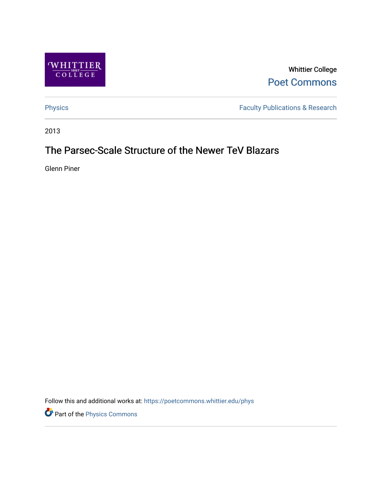

Whittier College [Poet Commons](https://poetcommons.whittier.edu/) 

[Physics](https://poetcommons.whittier.edu/phys) **Faculty Publications & Research** 

2013

# The Parsec-Scale Structure of the Newer TeV Blazars

Glenn Piner

Follow this and additional works at: [https://poetcommons.whittier.edu/phys](https://poetcommons.whittier.edu/phys?utm_source=poetcommons.whittier.edu%2Fphys%2F1&utm_medium=PDF&utm_campaign=PDFCoverPages)

Part of the [Physics Commons](http://network.bepress.com/hgg/discipline/193?utm_source=poetcommons.whittier.edu%2Fphys%2F1&utm_medium=PDF&utm_campaign=PDFCoverPages)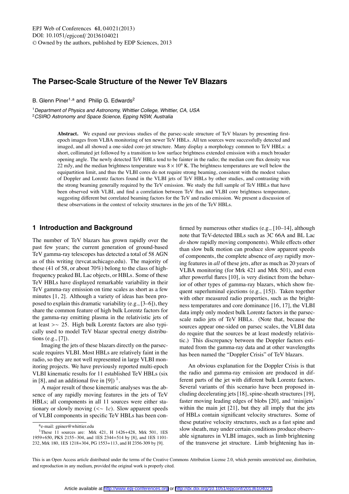## **The Parsec-Scale Structure of the Newer TeV Blazars**

B. Glenn Piner<sup>1,a</sup> and Philip G. Edwards<sup>2</sup>

<sup>1</sup> Department of Physics and Astronomy, Whittier College, Whittier, CA, USA <sup>2</sup>CSIRO Astronomy and Space Science, Epping NSW, Australia

> **Abstract.** We expand our previous studies of the parsec-scale structure of TeV blazars by presenting firstepoch images from VLBA monitoring of ten newer TeV HBLs. All ten sources were successfully detected and imaged, and all showed a one-sided core-jet structure. Many display a morphology common to TeV HBLs: a short, collimated jet followed by a transition to low surface brightness extended emission with a much broader opening angle. The newly detected TeV HBLs tend to be fainter in the radio; the median core flux density was 22 mJy, and the median brightness temperature was  $8 \times 10^9$  K. The brightness temperatures are well below the equipartition limit, and thus the VLBI cores do not require strong beaming, consistent with the modest values of Doppler and Lorentz factors found in the VLBI jets of TeV HBLs by other studies, and contrasting with the strong beaming generally required by the TeV emission. We study the full sample of TeV HBLs that have been observed with VLBI, and find a correlation between TeV flux and VLBI core brightness temperature, suggesting different but correlated beaming factors for the TeV and radio emission. We present a discussion of these observations in the context of velocity structures in the jets of the TeV HBLs.

### **1 Introduction and Background**

The number of TeV blazars has grown rapidly over the past few years; the current generation of ground-based TeV gamma-ray telescopes has detected a total of 58 AGN as of this writing (tevcat.uchicago.edu). The majority of these (41 of 58, or about 70%) belong to the class of highfrequency peaked BL Lac objects, or HBLs. Some of these TeV HBLs have displayed remarkable variability in their TeV gamma-ray emission on time scales as short as a few minutes [1, 2]. Although a variety of ideas has been proposed to explain this dramatic variability (e.g., [3–6]), they share the common feature of high bulk Lorentz factors for the gamma-ray emitting plasma in the relativistic jets of at least >∼ 25. High bulk Lorentz factors are also typically used to model TeV blazar spectral energy distributions (e.g., [7]).

Imaging the jets of these blazars directly on the parsecscale requires VLBI. Most HBLs are relatively faint in the radio, so they are not well represented in large VLBI monitoring projects. We have previously reported multi-epoch VLBI kinematic results for 11 established TeV HBLs (six in [8], and an additional five in [9])  $\frac{1}{1}$ .

A major result of those kinematic analyses was the absence of any rapidly moving features in the jets of TeV HBLs; all components in all 11 sources were either stationary or slowly moving (<∼ 1*c*). Slow apparent speeds of VLBI components in specific TeV HBLs has been confirmed by numerous other studies (e.g., [10–14], although note that TeV-detected IBLs such as 3C 66A and BL Lac *do* show rapidly moving components). While effects other than slow bulk motion can produce slow apparent speeds of components, the complete absence of *any* rapidly moving features in *all* of these jets, after as much as 20 years of VLBA monitoring (for Mrk 421 and Mrk 501), and even after powerful flares [10], is very distinct from the behavior of other types of gamma-ray blazars, which show frequent superluminal ejections (e.g., [15]). Taken together with other measured radio properties, such as the brightness temperatures and core dominance [16, 17], the VLBI data imply only modest bulk Lorentz factors in the parsecscale radio jets of TeV HBLs. (Note that, because the sources appear one-sided on parsec scales, the VLBI data do require that the sources be at least modestly relativistic.) This discrepancy between the Doppler factors estimated from the gamma-ray data and at other wavelengths has been named the "Doppler Crisis" of TeV blazars.

An obvious explanation for the Doppler Crisis is that the radio and gamma-ray emission are produced in different parts of the jet with different bulk Lorentz factors. Several variants of this scenario have been proposed including decelerating jets [18], spine-sheath structures [19], faster moving leading edges of blobs [20], and 'minijets' within the main jet [21], but they all imply that the jets of HBLs contain significant velocity structures. Some of these putative velocity structures, such as a fast spine and slow sheath, may under certain conditions produce observable signatures in VLBI images, such as limb brightening of the transverse jet structure. Limb brightening has in-

ae-mail: gpiner@whittier.edu

<sup>&</sup>lt;sup>1</sup>These 11 sources are: Mrk 421, H 1426+428, Mrk 501, 1ES 1959+650, PKS 2155−304, and 1ES 2344+514 by [8], and 1ES 1101- 232, Mrk 180, 1ES 1218+304, PG 1553+113, and H 2356-309 by [9].

This is an Open Access article distributed under the terms of the Creative Commons Attribution License 2.0, which permits unrestricted use, distribution, and reproduction in any medium, provided the original work is properly cited.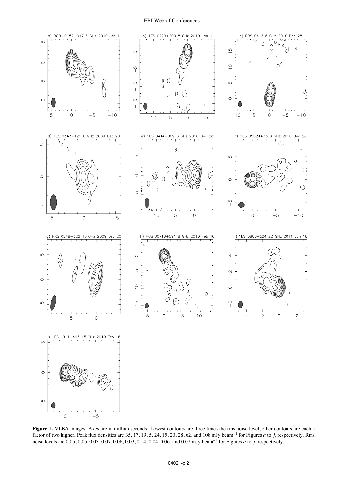#### EPJ Web of Conferences



**Figure 1.** VLBA images. Axes are in milliarcseconds. Lowest contours are three times the rms noise level, other contours are each a factor of two higher. Peak flux densities are 35, 17, 19, 5, 24, 15, 20, 28, 62, and 108 mJy beam−<sup>1</sup> for Figures *a* to *j*, respectively. Rms noise levels are 0.05, 0.05, 0.03, 0.07, 0.06, 0.03, 0.14, 0.04, 0.06, and 0.07 mJy beam−<sup>1</sup> for Figures *a* to *j*, respectively.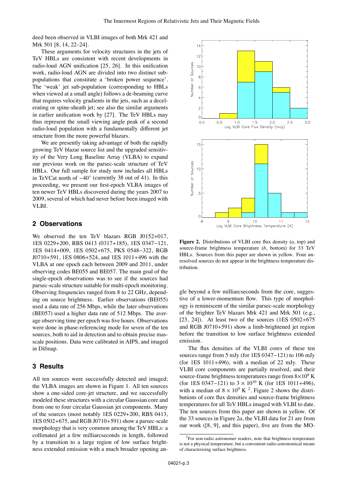deed been observed in VLBI images of both Mrk 421 and Mrk 501 [8, 14, 22–24].

These arguments for velocity structures in the jets of TeV HBLs are consistent with recent developments in radio-loud AGN unification [25, 26]. In this unification work, radio-loud AGN are divided into two distinct subpopulations that constitute a 'broken power sequence'. The 'weak' jet sub-population (corresponding to HBLs when viewed at a small angle) follows a de-beaming curve that requires velocity gradients in the jets, such as a decelerating or spine-sheath jet; see also the similar arguments in earlier unification work by [27]. The TeV HBLs may thus represent the small viewing angle peak of a second radio-loud population with a fundamentally different jet structure from the more powerful blazars.

We are presently taking advantage of both the rapidly growing TeV blazar source list and the upgraded sensitivity of the Very Long Baseline Array (VLBA) to expand our previous work on the parsec-scale structure of TeV HBLs. Our full sample for study now includes all HBLs in TeVCat north of −40◦ (currently 38 out of 41). In this proceeding, we present our first-epoch VLBA images of ten newer TeV HBLs discovered during the years 2007 to 2009, several of which had never before been imaged with VLBI.

#### **2 Observations**

We observed the ten TeV blazars RGB J0152+017, 1ES 0229+200, RBS 0413 (0317+185), 1ES 0347−121, 1ES 0414+009, 1ES 0502+675, PKS 0548−322, RGB J0710+591, 1ES 0806+524, and 1ES 1011+496 with the VLBA at one epoch each between 2009 and 2011, under observing codes BE055 and BE057. The main goal of the single-epoch observations was to see if the sources had parsec-scale structure suitable for multi-epoch monitoring. Observing frequencies ranged from 8 to 22 GHz, depending on source brightness. Earlier observations (BE055) used a data rate of 256 Mbps, while the later observations (BE057) used a higher data rate of 512 Mbps. The average observing time per epoch was five hours. Observations were done in phase-referencing mode for seven of the ten sources, both to aid in detection and to obtain precise masscale positions. Data were calibrated in AIPS, and imaged in Difmap.

#### **3 Results**

All ten sources were successfully detected and imaged; the VLBA images are shown in Figure 1. All ten sources show a one-sided core-jet structure, and we successfully modeled these structures with a circular Gaussian core and from one to four circular Gaussian jet components. Many of the sources (most notably 1ES 0229+200, RBS 0413, 1ES 0502+675, and RGB J0710+591) show a parsec-scale morphology that is very common among the TeV HBLs: a collimated jet a few milliarcseconds in length, followed by a transition to a large region of low surface brightness extended emission with a much broader opening an-



**Figure 2.** Distributions of VLBI core flux density (*a*, top) and source-frame brightness temperature (*b*, bottom) for 33 TeV HBLs. Sources from this paper are shown in yellow. Four unresolved sources do not appear in the brightness temperature distribution.

gle beyond a few milliarcseconds from the core, suggestive of a lower-momentum flow. This type of morphology is reminiscent of the similar parsec-scale morphology of the brighter TeV blazars Mrk 421 and Mrk 501 (e.g., [23, 24]). At least two of the sources (1ES 0502+675 and RGB J0710+591) show a limb-brightened jet region before the transition to low surface brightness extended emission.

The flux densities of the VLBI cores of these ten sources range from 5 mJy (for 1ES 0347−121) to 106 mJy (for 1ES 1011+496), with a median of 22 mJy. These VLBI core components are partially resolved, and their source-frame brightness temperatures range from  $8\times10^8$  K (for 1ES 0347–121) to  $3 \times 10^{10}$  K (for 1ES 1011+496), with a median of  $8 \times 10^9$  K <sup>2</sup>. Figure 2 shows the distributions of core flux densities and source-frame brightness temperatures for all TeV HBLs imaged with VLBI to date. The ten sources from this paper are shown in yellow. Of the 33 sources in Figure 2*a*, the VLBI data for 21 are from our work ([8, 9], and this paper), five are from the MO-

 ${}^{2}$ For non-radio astronomer readers, note that brightness temperature is not a physical temperature, but a convenient radio-astronomical means of characterizing surface brightness.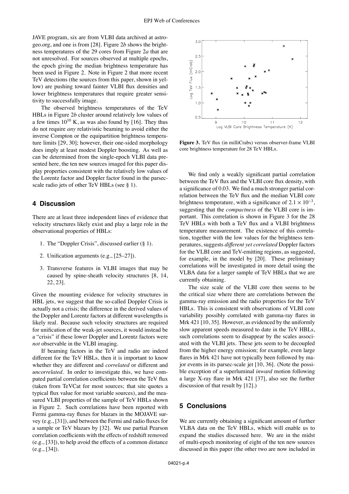JAVE program, six are from VLBI data archived at astrogeo.org, and one is from [28]. Figure 2*b* shows the brightness temperatures of the 29 cores from Figure 2*a* that are not unresolved. For sources observed at multiple epochs, the epoch giving the median brightness temperature has been used in Figure 2. Note in Figure 2 that more recent TeV detections (the sources from this paper, shown in yellow) are pushing toward fainter VLBI flux densities and lower brightness temperatures that require greater sensitivity to successfully image.

The observed brightness temperatures of the TeV HBLs in Figure 2*b* cluster around relatively low values of a few times  $10^{10}$  K, as was also found by [16]. They thus do not require *any* relativistic beaming to avoid either the inverse Compton or the equipartition brightness temperature limits [29, 30]; however, their one-sided morphology does imply at least modest Doppler boosting. As well as can be determined from the single-epoch VLBI data presented here, the ten new sources imaged for this paper display properties consistent with the relatively low values of the Lorentz factor and Doppler factor found in the parsecscale radio jets of other TeV HBLs (see § 1).

#### **4 Discussion**

There are at least three independent lines of evidence that velocity structures likely exist and play a large role in the observational properties of HBLs:

- 1. The "Doppler Crisis", discussed earlier (§ 1).
- 2. Unification arguments (e.g., [25–27]).
- 3. Transverse features in VLBI images that may be caused by spine-sheath velocity structures [8, 14, 22, 23].

Given the mounting evidence for velocity structures in HBL jets, we suggest that the so-called Doppler Crisis is actually not a crisis; the difference in the derived values of the Doppler and Lorentz factors at different wavelengths is likely real. Because such velocity structures are required for unification of the weak-jet sources, it would instead be a "crisis" if these lower Doppler and Lorentz factors were *not* observable in the VLBI imaging.

If beaming factors in the TeV and radio are indeed different for the TeV HBLs, then it is important to know whether they are different and *correlated* or different and *uncorrelated*. In order to investigate this, we have computed partial correlation coefficients between the TeV flux (taken from TeVCat for most sources; that site quotes a typical flux value for most variable sources), and the measured VLBI properties of the sample of TeV HBLs shown in Figure 2. Such correlations have been reported with Fermi gamma-ray fluxes for blazars in the MOJAVE survey (e.g., [31]), and between the Fermi and radio fluxes for a sample or TeV blazars by [32]. We use partial Pearson correlation coefficients with the effects of redshift removed (e.g., [33]), to help avoid the effects of a common distance (e.g., [34]).



**Figure 3.** TeV flux (in milliCrabs) versus observer-frame VLBI core brightness temperature for 28 TeV HBLs.

We find only a weakly significant partial correlation between the TeV flux and the VLBI core flux density, with a significance of 0.03. We find a much stronger partial correlation between the TeV flux and the median VLBI core brightness temperature, with a significance of  $2.1 \times 10^{-3}$ , suggesting that the *compactness* of the VLBI core is important. This correlation is shown in Figure 3 for the 28 TeV HBLs with both a TeV flux and a VLBI brightness temperature measurement. The existence of this correlation, together with the low values for the brightness temperatures, suggests *di*ff*erent yet correlated* Doppler factors for the VLBI core and TeV-emitting regions, as suggested, for example, in the model by [20]. These preliminary correlations will be investigated in more detail using the VLBA data for a larger sample of TeV HBLs that we are currently obtaining.

The size scale of the VLBI core then seems to be the critical size where there are correlations between the gamma-ray emission and the radio properties for the TeV HBLs. This is consistent with observations of VLBI core variability possibly correlated with gamma-ray flares in Mrk 421 [10, 35]. However, as evidenced by the uniformly slow apparent speeds measured to date in the TeV HBLs, such correlations seem to disappear by the scales associated with the VLBI jets. These jets seem to be decoupled from the higher energy emission; for example, even large flares in Mrk 421 have not typically been followed by major events in its parsec-scale jet [10, 36]. (Note the possible exception of a superluminal *inward* motion following a large X-ray flare in Mrk 421 [37], also see the further discussion of that result by [12].)

#### **5 Conclusions**

We are currently obtaining a significant amount of further VLBA data on the TeV HBLs, which will enable us to expand the studies discussed here. We are in the midst of multi-epoch monitoring of eight of the ten new sources discussed in this paper (the other two are now included in